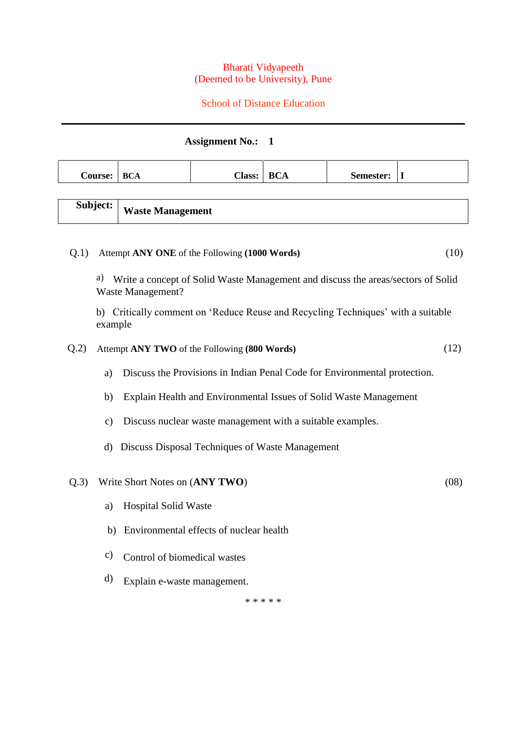#### Bharati Vidyapeeth (Deemed to be University), Pune

## School of Distance Education

# **Assignment No.: 1**

| <b>Course:</b>                                                                                                     | <b>BCA</b>                                                                                  | <b>Class:</b>                                   | <b>BCA</b> | Semester: | $\mathbf I$ |  |  |  |  |  |
|--------------------------------------------------------------------------------------------------------------------|---------------------------------------------------------------------------------------------|-------------------------------------------------|------------|-----------|-------------|--|--|--|--|--|
|                                                                                                                    |                                                                                             |                                                 |            |           |             |  |  |  |  |  |
| Subject:                                                                                                           | <b>Waste Management</b>                                                                     |                                                 |            |           |             |  |  |  |  |  |
|                                                                                                                    |                                                                                             |                                                 |            |           |             |  |  |  |  |  |
| Q.1)<br>Attempt ANY ONE of the Following (1000 Words)<br>(10)                                                      |                                                                                             |                                                 |            |           |             |  |  |  |  |  |
| a)<br>Write a concept of Solid Waste Management and discuss the areas/sectors of Solid<br><b>Waste Management?</b> |                                                                                             |                                                 |            |           |             |  |  |  |  |  |
|                                                                                                                    | b) Critically comment on 'Reduce Reuse and Recycling Techniques' with a suitable<br>example |                                                 |            |           |             |  |  |  |  |  |
| Q.2)                                                                                                               |                                                                                             | Attempt ANY TWO of the Following (800 Words)    |            |           | (12)        |  |  |  |  |  |
|                                                                                                                    | Discuss the Provisions in Indian Penal Code for Environmental protection.<br>a)             |                                                 |            |           |             |  |  |  |  |  |
| b)                                                                                                                 | Explain Health and Environmental Issues of Solid Waste Management                           |                                                 |            |           |             |  |  |  |  |  |
| $\mathbf{c})$                                                                                                      | Discuss nuclear waste management with a suitable examples.                                  |                                                 |            |           |             |  |  |  |  |  |
| d)                                                                                                                 |                                                                                             | Discuss Disposal Techniques of Waste Management |            |           |             |  |  |  |  |  |
| Q.3)                                                                                                               | Write Short Notes on (ANY TWO)                                                              |                                                 |            |           | (08)        |  |  |  |  |  |
| a)                                                                                                                 | <b>Hospital Solid Waste</b>                                                                 |                                                 |            |           |             |  |  |  |  |  |
|                                                                                                                    | Environmental effects of nuclear health<br>b)                                               |                                                 |            |           |             |  |  |  |  |  |
| $\mathbf{c})$                                                                                                      | Control of biomedical wastes                                                                |                                                 |            |           |             |  |  |  |  |  |

d) Explain e-waste management.

\* \* \* \* \*